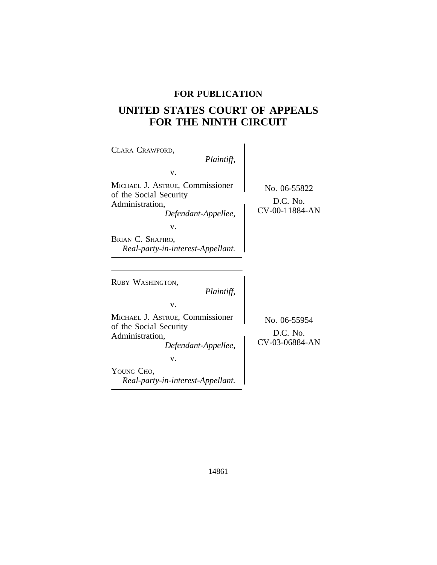# **FOR PUBLICATION**

# **UNITED STATES COURT OF APPEALS FOR THE NINTH CIRCUIT**

 $\overline{\phantom{a}}$ 

| CLARA CRAWFORD,                                                                                     |                                            |
|-----------------------------------------------------------------------------------------------------|--------------------------------------------|
| Plaintiff,                                                                                          |                                            |
| V.                                                                                                  |                                            |
| MICHAEL J. ASTRUE, Commissioner<br>of the Social Security<br>Administration,<br>Defendant-Appellee, | No. 06-55822<br>D.C. No.<br>CV-00-11884-AN |
| V.                                                                                                  |                                            |
| BRIAN C. SHAPIRO,<br>Real-party-in-interest-Appellant.                                              |                                            |
|                                                                                                     |                                            |
|                                                                                                     |                                            |
| RUBY WASHINGTON,<br>Plaintiff,                                                                      |                                            |
| v.                                                                                                  |                                            |
| MICHAEL J. ASTRUE, Commissioner<br>of the Social Security<br>Administration,<br>Defendant-Appellee, | No. 06-55954<br>D.C. No.<br>CV-03-06884-AN |
| v.                                                                                                  |                                            |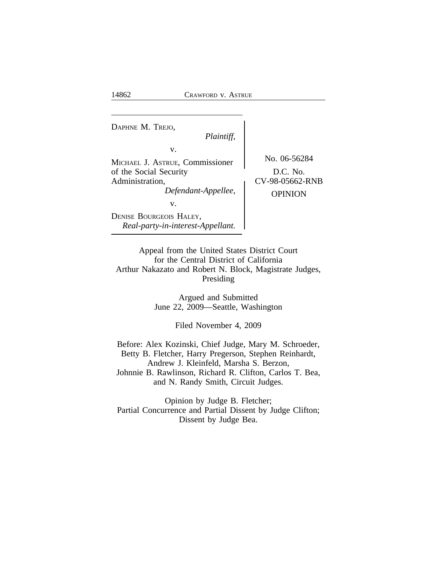<sup>D</sup>APHNE M. TREJO, *Plaintiff,* v. MICHAEL J. ASTRUE, Commissioner No. 06-56284 of the Social Security <br>Administration, CV-98-05662-RNB *Defendant-Appellee,* OPINION v. DENISE BOURGEOIS HALEY, *Real-party-in-interest-Appellant.*

Appeal from the United States District Court for the Central District of California Arthur Nakazato and Robert N. Block, Magistrate Judges, Presiding

> Argued and Submitted June 22, 2009—Seattle, Washington

> > Filed November 4, 2009

Before: Alex Kozinski, Chief Judge, Mary M. Schroeder, Betty B. Fletcher, Harry Pregerson, Stephen Reinhardt, Andrew J. Kleinfeld, Marsha S. Berzon, Johnnie B. Rawlinson, Richard R. Clifton, Carlos T. Bea, and N. Randy Smith, Circuit Judges.

Opinion by Judge B. Fletcher; Partial Concurrence and Partial Dissent by Judge Clifton; Dissent by Judge Bea.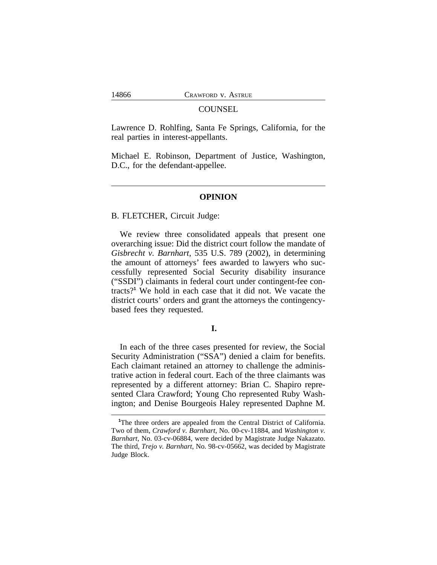#### **COUNSEL**

Lawrence D. Rohlfing, Santa Fe Springs, California, for the real parties in interest-appellants.

Michael E. Robinson, Department of Justice, Washington, D.C., for the defendant-appellee.

## **OPINION**

#### B. FLETCHER, Circuit Judge:

We review three consolidated appeals that present one overarching issue: Did the district court follow the mandate of *Gisbrecht v. Barnhart*, 535 U.S. 789 (2002), in determining the amount of attorneys' fees awarded to lawyers who successfully represented Social Security disability insurance ("SSDI") claimants in federal court under contingent-fee contracts?**<sup>1</sup>** We hold in each case that it did not. We vacate the district courts' orders and grant the attorneys the contingencybased fees they requested.

## **I.**

In each of the three cases presented for review, the Social Security Administration ("SSA") denied a claim for benefits. Each claimant retained an attorney to challenge the administrative action in federal court. Each of the three claimants was represented by a different attorney: Brian C. Shapiro represented Clara Crawford; Young Cho represented Ruby Washington; and Denise Bourgeois Haley represented Daphne M.

<sup>&</sup>lt;sup>1</sup>The three orders are appealed from the Central District of California. Two of them, *Crawford v. Barnhart*, No. 00-cv-11884, and *Washington v. Barnhart*, No. 03-cv-06884, were decided by Magistrate Judge Nakazato. The third, *Trejo v. Barnhart*, No. 98-cv-05662, was decided by Magistrate Judge Block.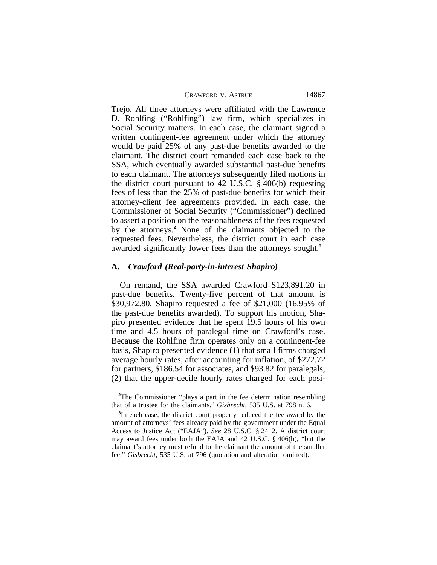Trejo. All three attorneys were affiliated with the Lawrence D. Rohlfing ("Rohlfing") law firm, which specializes in Social Security matters. In each case, the claimant signed a written contingent-fee agreement under which the attorney would be paid 25% of any past-due benefits awarded to the claimant. The district court remanded each case back to the SSA, which eventually awarded substantial past-due benefits to each claimant. The attorneys subsequently filed motions in the district court pursuant to 42 U.S.C. § 406(b) requesting fees of less than the 25% of past-due benefits for which their attorney-client fee agreements provided. In each case, the Commissioner of Social Security ("Commissioner") declined to assert a position on the reasonableness of the fees requested by the attorneys.**<sup>2</sup>** None of the claimants objected to the requested fees. Nevertheless, the district court in each case awarded significantly lower fees than the attorneys sought.**<sup>3</sup>**

#### **A.** *Crawford (Real-party-in-interest Shapiro)*

On remand, the SSA awarded Crawford \$123,891.20 in past-due benefits. Twenty-five percent of that amount is \$30,972.80. Shapiro requested a fee of \$21,000 (16.95% of the past-due benefits awarded). To support his motion, Shapiro presented evidence that he spent 19.5 hours of his own time and 4.5 hours of paralegal time on Crawford's case. Because the Rohlfing firm operates only on a contingent-fee basis, Shapiro presented evidence (1) that small firms charged average hourly rates, after accounting for inflation, of \$272.72 for partners, \$186.54 for associates, and \$93.82 for paralegals; (2) that the upper-decile hourly rates charged for each posi-

<sup>&</sup>lt;sup>2</sup>The Commissioner "plays a part in the fee determination resembling" that of a trustee for the claimants." *Gisbrecht*, 535 U.S. at 798 n. 6.

**<sup>3</sup>** In each case, the district court properly reduced the fee award by the amount of attorneys' fees already paid by the government under the Equal Access to Justice Act ("EAJA"). *See* 28 U.S.C. § 2412. A district court may award fees under both the EAJA and 42 U.S.C. § 406(b), "but the claimant's attorney must refund to the claimant the amount of the smaller fee." *Gisbrecht*, 535 U.S. at 796 (quotation and alteration omitted).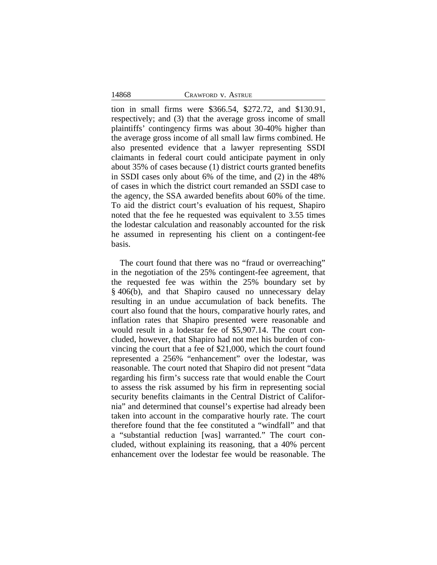tion in small firms were \$366.54, \$272.72, and \$130.91, respectively; and (3) that the average gross income of small plaintiffs' contingency firms was about 30-40% higher than the average gross income of all small law firms combined. He also presented evidence that a lawyer representing SSDI claimants in federal court could anticipate payment in only about 35% of cases because (1) district courts granted benefits in SSDI cases only about 6% of the time, and (2) in the 48% of cases in which the district court remanded an SSDI case to the agency, the SSA awarded benefits about 60% of the time. To aid the district court's evaluation of his request, Shapiro noted that the fee he requested was equivalent to 3.55 times the lodestar calculation and reasonably accounted for the risk he assumed in representing his client on a contingent-fee basis.

The court found that there was no "fraud or overreaching" in the negotiation of the 25% contingent-fee agreement, that the requested fee was within the 25% boundary set by § 406(b), and that Shapiro caused no unnecessary delay resulting in an undue accumulation of back benefits. The court also found that the hours, comparative hourly rates, and inflation rates that Shapiro presented were reasonable and would result in a lodestar fee of \$5,907.14. The court concluded, however, that Shapiro had not met his burden of convincing the court that a fee of \$21,000, which the court found represented a 256% "enhancement" over the lodestar, was reasonable. The court noted that Shapiro did not present "data regarding his firm's success rate that would enable the Court to assess the risk assumed by his firm in representing social security benefits claimants in the Central District of California" and determined that counsel's expertise had already been taken into account in the comparative hourly rate. The court therefore found that the fee constituted a "windfall" and that a "substantial reduction [was] warranted." The court concluded, without explaining its reasoning, that a 40% percent enhancement over the lodestar fee would be reasonable. The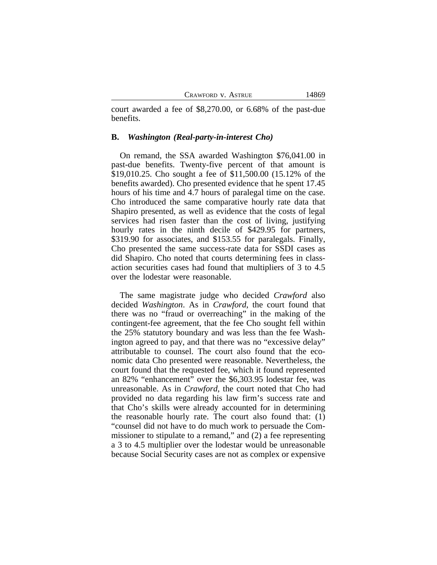court awarded a fee of \$8,270.00, or 6.68% of the past-due benefits.

#### **B.** *Washington (Real-party-in-interest Cho)*

On remand, the SSA awarded Washington \$76,041.00 in past-due benefits. Twenty-five percent of that amount is \$19,010.25. Cho sought a fee of \$11,500.00 (15.12% of the benefits awarded). Cho presented evidence that he spent 17.45 hours of his time and 4.7 hours of paralegal time on the case. Cho introduced the same comparative hourly rate data that Shapiro presented, as well as evidence that the costs of legal services had risen faster than the cost of living, justifying hourly rates in the ninth decile of \$429.95 for partners, \$319.90 for associates, and \$153.55 for paralegals. Finally, Cho presented the same success-rate data for SSDI cases as did Shapiro. Cho noted that courts determining fees in classaction securities cases had found that multipliers of 3 to 4.5 over the lodestar were reasonable.

The same magistrate judge who decided *Crawford* also decided *Washington*. As in *Crawford*, the court found that there was no "fraud or overreaching" in the making of the contingent-fee agreement, that the fee Cho sought fell within the 25% statutory boundary and was less than the fee Washington agreed to pay, and that there was no "excessive delay" attributable to counsel. The court also found that the economic data Cho presented were reasonable. Nevertheless, the court found that the requested fee, which it found represented an 82% "enhancement" over the \$6,303.95 lodestar fee, was unreasonable. As in *Crawford*, the court noted that Cho had provided no data regarding his law firm's success rate and that Cho's skills were already accounted for in determining the reasonable hourly rate. The court also found that: (1) "counsel did not have to do much work to persuade the Commissioner to stipulate to a remand," and (2) a fee representing a 3 to 4.5 multiplier over the lodestar would be unreasonable because Social Security cases are not as complex or expensive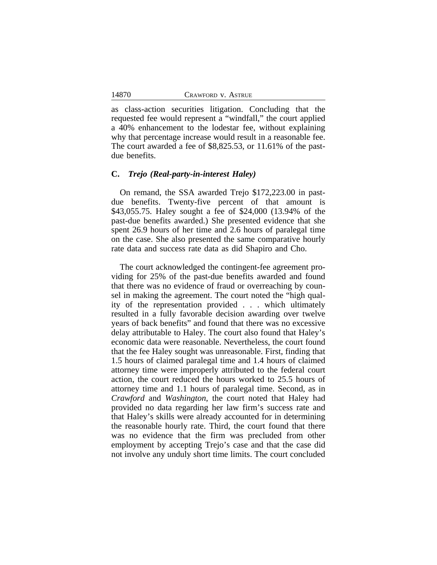as class-action securities litigation. Concluding that the requested fee would represent a "windfall," the court applied a 40% enhancement to the lodestar fee, without explaining why that percentage increase would result in a reasonable fee. The court awarded a fee of \$8,825.53, or 11.61% of the pastdue benefits.

#### **C.** *Trejo (Real-party-in-interest Haley)*

On remand, the SSA awarded Trejo \$172,223.00 in pastdue benefits. Twenty-five percent of that amount is \$43,055.75. Haley sought a fee of \$24,000 (13.94% of the past-due benefits awarded.) She presented evidence that she spent 26.9 hours of her time and 2.6 hours of paralegal time on the case. She also presented the same comparative hourly rate data and success rate data as did Shapiro and Cho.

The court acknowledged the contingent-fee agreement providing for 25% of the past-due benefits awarded and found that there was no evidence of fraud or overreaching by counsel in making the agreement. The court noted the "high quality of the representation provided . . . which ultimately resulted in a fully favorable decision awarding over twelve years of back benefits" and found that there was no excessive delay attributable to Haley. The court also found that Haley's economic data were reasonable. Nevertheless, the court found that the fee Haley sought was unreasonable. First, finding that 1.5 hours of claimed paralegal time and 1.4 hours of claimed attorney time were improperly attributed to the federal court action, the court reduced the hours worked to 25.5 hours of attorney time and 1.1 hours of paralegal time. Second, as in *Crawford* and *Washington*, the court noted that Haley had provided no data regarding her law firm's success rate and that Haley's skills were already accounted for in determining the reasonable hourly rate. Third, the court found that there was no evidence that the firm was precluded from other employment by accepting Trejo's case and that the case did not involve any unduly short time limits. The court concluded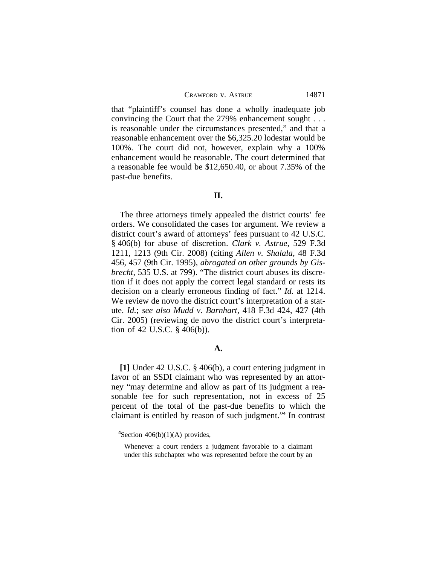that "plaintiff's counsel has done a wholly inadequate job convincing the Court that the 279% enhancement sought . . . is reasonable under the circumstances presented," and that a reasonable enhancement over the \$6,325.20 lodestar would be 100%. The court did not, however, explain why a 100% enhancement would be reasonable. The court determined that a reasonable fee would be \$12,650.40, or about 7.35% of the past-due benefits.

## **II.**

The three attorneys timely appealed the district courts' fee orders. We consolidated the cases for argument. We review a district court's award of attorneys' fees pursuant to 42 U.S.C. § 406(b) for abuse of discretion. *Clark v. Astrue*, 529 F.3d 1211, 1213 (9th Cir. 2008) (citing *Allen v. Shalala*, 48 F.3d 456, 457 (9th Cir. 1995), *abrogated on other grounds by Gisbrecht*, 535 U.S. at 799). "The district court abuses its discretion if it does not apply the correct legal standard or rests its decision on a clearly erroneous finding of fact." *Id.* at 1214. We review de novo the district court's interpretation of a statute. *Id.*; *see also Mudd v. Barnhart*, 418 F.3d 424, 427 (4th Cir. 2005) (reviewing de novo the district court's interpretation of 42 U.S.C. § 406(b)).

## **A.**

**[1]** Under 42 U.S.C. § 406(b), a court entering judgment in favor of an SSDI claimant who was represented by an attorney "may determine and allow as part of its judgment a reasonable fee for such representation, not in excess of 25 percent of the total of the past-due benefits to which the claimant is entitled by reason of such judgment." **4** In contrast

**<sup>4</sup>**Section 406(b)(1)(A) provides,

Whenever a court renders a judgment favorable to a claimant under this subchapter who was represented before the court by an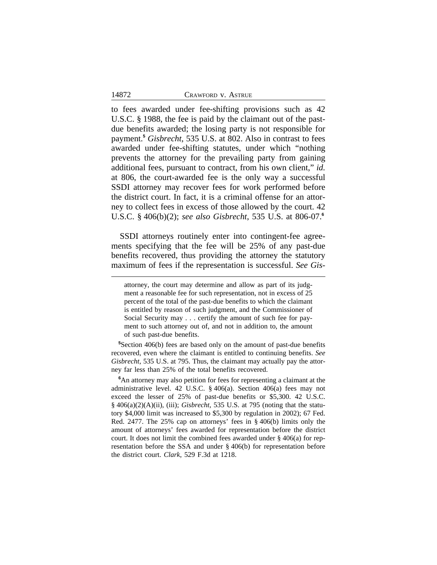to fees awarded under fee-shifting provisions such as 42 U.S.C. § 1988, the fee is paid by the claimant out of the pastdue benefits awarded; the losing party is not responsible for payment.**<sup>5</sup>** *Gisbrecht*, 535 U.S. at 802. Also in contrast to fees awarded under fee-shifting statutes, under which "nothing prevents the attorney for the prevailing party from gaining additional fees, pursuant to contract, from his own client," *id.* at 806, the court-awarded fee is the only way a successful SSDI attorney may recover fees for work performed before the district court. In fact, it is a criminal offense for an attorney to collect fees in excess of those allowed by the court. 42 U.S.C. § 406(b)(2); *see also Gisbrecht*, 535 U.S. at 806-07.**<sup>6</sup>**

SSDI attorneys routinely enter into contingent-fee agreements specifying that the fee will be 25% of any past-due benefits recovered, thus providing the attorney the statutory maximum of fees if the representation is successful. *See Gis-*

**<sup>5</sup>**Section 406(b) fees are based only on the amount of past-due benefits recovered, even where the claimant is entitled to continuing benefits. *See Gisbrecht*, 535 U.S. at 795. Thus, the claimant may actually pay the attorney far less than 25% of the total benefits recovered.

**<sup>6</sup>**An attorney may also petition for fees for representing a claimant at the administrative level. 42 U.S.C. § 406(a). Section 406(a) fees may not exceed the lesser of 25% of past-due benefits or \$5,300. 42 U.S.C. § 406(a)(2)(A)(ii), (iii); *Gisbrecht*, 535 U.S. at 795 (noting that the statutory \$4,000 limit was increased to \$5,300 by regulation in 2002); 67 Fed. Red. 2477. The 25% cap on attorneys' fees in § 406(b) limits only the amount of attorneys' fees awarded for representation before the district court. It does not limit the combined fees awarded under  $\S$  406(a) for representation before the SSA and under § 406(b) for representation before the district court. *Clark*, 529 F.3d at 1218.

attorney, the court may determine and allow as part of its judgment a reasonable fee for such representation, not in excess of 25 percent of the total of the past-due benefits to which the claimant is entitled by reason of such judgment, and the Commissioner of Social Security may . . . certify the amount of such fee for payment to such attorney out of, and not in addition to, the amount of such past-due benefits.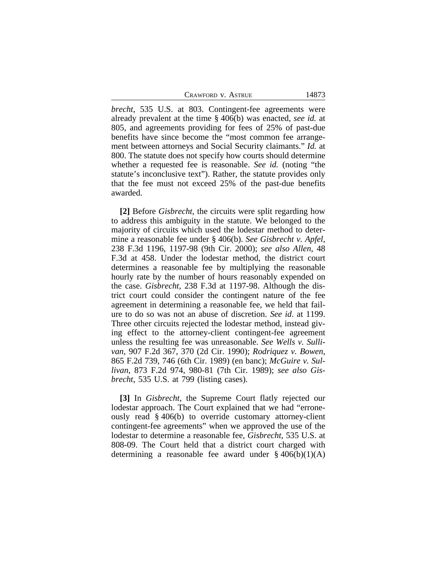*brecht*, 535 U.S. at 803. Contingent-fee agreements were already prevalent at the time § 406(b) was enacted, *see id.* at 805, and agreements providing for fees of 25% of past-due benefits have since become the "most common fee arrangement between attorneys and Social Security claimants." *Id.* at 800. The statute does not specify how courts should determine whether a requested fee is reasonable. *See id.* (noting "the statute's inconclusive text"). Rather, the statute provides only that the fee must not exceed 25% of the past-due benefits awarded.

**[2]** Before *Gisbrecht*, the circuits were split regarding how to address this ambiguity in the statute. We belonged to the majority of circuits which used the lodestar method to determine a reasonable fee under § 406(b). *See Gisbrecht v. Apfel*, 238 F.3d 1196, 1197-98 (9th Cir. 2000); *see also Allen*, 48 F.3d at 458. Under the lodestar method, the district court determines a reasonable fee by multiplying the reasonable hourly rate by the number of hours reasonably expended on the case. *Gisbrecht*, 238 F.3d at 1197-98. Although the district court could consider the contingent nature of the fee agreement in determining a reasonable fee, we held that failure to do so was not an abuse of discretion. *See id*. at 1199. Three other circuits rejected the lodestar method, instead giving effect to the attorney-client contingent-fee agreement unless the resulting fee was unreasonable. *See Wells v. Sullivan*, 907 F.2d 367, 370 (2d Cir. 1990); *Rodriquez v. Bowen*, 865 F.2d 739, 746 (6th Cir. 1989) (en banc); *McGuire v. Sullivan*, 873 F.2d 974, 980-81 (7th Cir. 1989); *see also Gisbrecht*, 535 U.S. at 799 (listing cases).

**[3]** In *Gisbrecht*, the Supreme Court flatly rejected our lodestar approach. The Court explained that we had "erroneously read § 406(b) to override customary attorney-client contingent-fee agreements" when we approved the use of the lodestar to determine a reasonable fee, *Gisbrecht*, 535 U.S. at 808-09. The Court held that a district court charged with determining a reasonable fee award under  $\S 406(b)(1)(A)$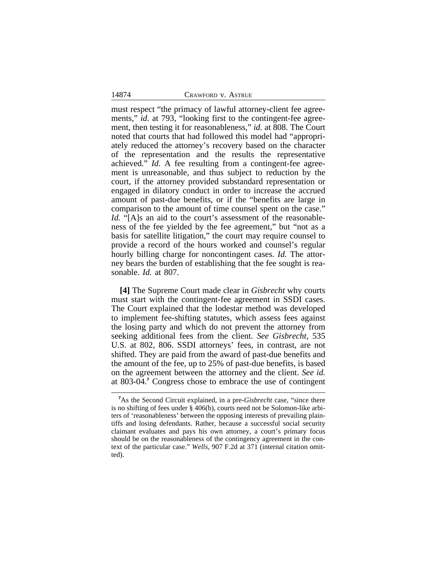must respect "the primacy of lawful attorney-client fee agreements," *id.* at 793, "looking first to the contingent-fee agreement, then testing it for reasonableness," *id.* at 808. The Court noted that courts that had followed this model had "appropriately reduced the attorney's recovery based on the character of the representation and the results the representative achieved." *Id.* A fee resulting from a contingent-fee agreement is unreasonable, and thus subject to reduction by the court, if the attorney provided substandard representation or engaged in dilatory conduct in order to increase the accrued amount of past-due benefits, or if the "benefits are large in comparison to the amount of time counsel spent on the case." *Id.* "[A]s an aid to the court's assessment of the reasonableness of the fee yielded by the fee agreement," but "not as a basis for satellite litigation," the court may require counsel to provide a record of the hours worked and counsel's regular hourly billing charge for noncontingent cases. *Id.* The attorney bears the burden of establishing that the fee sought is reasonable. *Id.* at 807.

**[4]** The Supreme Court made clear in *Gisbrecht* why courts must start with the contingent-fee agreement in SSDI cases. The Court explained that the lodestar method was developed to implement fee-shifting statutes, which assess fees against the losing party and which do not prevent the attorney from seeking additional fees from the client. *See Gisbrecht*, 535 U.S. at 802, 806. SSDI attorneys' fees, in contrast, are not shifted. They are paid from the award of past-due benefits and the amount of the fee, up to 25% of past-due benefits, is based on the agreement between the attorney and the client. *See id.* at 803-04.**<sup>7</sup>** Congress chose to embrace the use of contingent

**<sup>7</sup>**As the Second Circuit explained, in a pre-*Gisbrecht* case, "since there is no shifting of fees under § 406(b), courts need not be Solomon-like arbiters of 'reasonableness' between the opposing interests of prevailing plaintiffs and losing defendants. Rather, because a successful social security claimant evaluates and pays his own attorney, a court's primary focus should be on the reasonableness of the contingency agreement in the context of the particular case." *Wells*, 907 F.2d at 371 (internal citation omitted).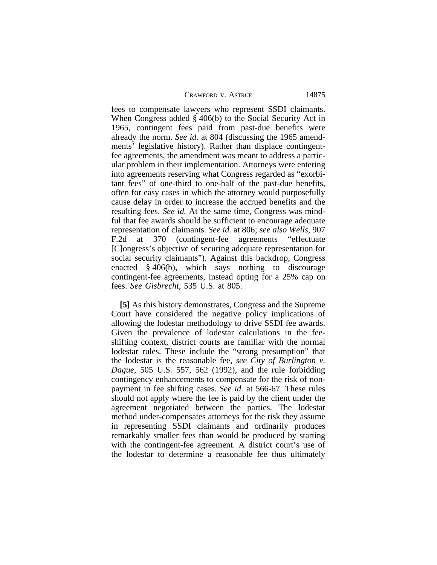fees to compensate lawyers who represent SSDI claimants. When Congress added § 406(b) to the Social Security Act in 1965, contingent fees paid from past-due benefits were already the norm. *See id.* at 804 (discussing the 1965 amendments' legislative history). Rather than displace contingentfee agreements, the amendment was meant to address a particular problem in their implementation. Attorneys were entering into agreements reserving what Congress regarded as "exorbitant fees" of one-third to one-half of the past-due benefits, often for easy cases in which the attorney would purposefully cause delay in order to increase the accrued benefits and the resulting fees. *See id.* At the same time, Congress was mindful that fee awards should be sufficient to encourage adequate representation of claimants. *See id.* at 806; *see also Wells*, 907 F.2d at 370 (contingent-fee agreements "effectuate [C]ongress's objective of securing adequate representation for social security claimants"). Against this backdrop, Congress enacted § 406(b), which says nothing to discourage contingent-fee agreements, instead opting for a 25% cap on fees. *See Gisbrecht*, 535 U.S. at 805.

**[5]** As this history demonstrates, Congress and the Supreme Court have considered the negative policy implications of allowing the lodestar methodology to drive SSDI fee awards. Given the prevalence of lodestar calculations in the feeshifting context, district courts are familiar with the normal lodestar rules. These include the "strong presumption" that the lodestar is the reasonable fee, *see City of Burlington v. Dague*, 505 U.S. 557, 562 (1992), and the rule forbidding contingency enhancements to compensate for the risk of nonpayment in fee shifting cases. *See id.* at 566-67. These rules should not apply where the fee is paid by the client under the agreement negotiated between the parties. The lodestar method under-compensates attorneys for the risk they assume in representing SSDI claimants and ordinarily produces remarkably smaller fees than would be produced by starting with the contingent-fee agreement. A district court's use of the lodestar to determine a reasonable fee thus ultimately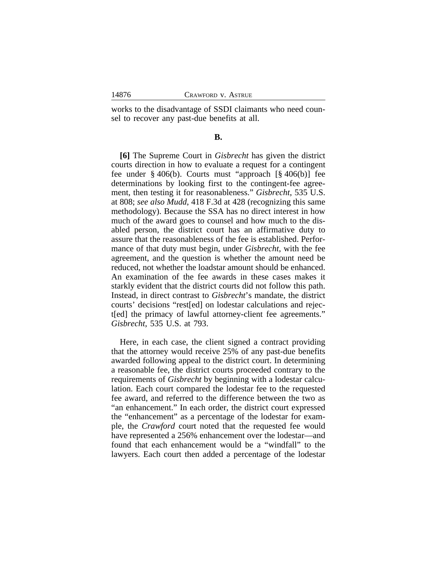works to the disadvantage of SSDI claimants who need counsel to recover any past-due benefits at all.

## **B.**

**[6]** The Supreme Court in *Gisbrecht* has given the district courts direction in how to evaluate a request for a contingent fee under § 406(b). Courts must "approach [§ 406(b)] fee determinations by looking first to the contingent-fee agreement, then testing it for reasonableness." *Gisbrecht*, 535 U.S. at 808; *see also Mudd*, 418 F.3d at 428 (recognizing this same methodology). Because the SSA has no direct interest in how much of the award goes to counsel and how much to the disabled person, the district court has an affirmative duty to assure that the reasonableness of the fee is established. Performance of that duty must begin, under *Gisbrecht*, with the fee agreement, and the question is whether the amount need be reduced, not whether the loadstar amount should be enhanced. An examination of the fee awards in these cases makes it starkly evident that the district courts did not follow this path. Instead, in direct contrast to *Gisbrecht*'s mandate, the district courts' decisions "rest[ed] on lodestar calculations and reject[ed] the primacy of lawful attorney-client fee agreements." *Gisbrecht*, 535 U.S. at 793.

Here, in each case, the client signed a contract providing that the attorney would receive 25% of any past-due benefits awarded following appeal to the district court. In determining a reasonable fee, the district courts proceeded contrary to the requirements of *Gisbrecht* by beginning with a lodestar calculation. Each court compared the lodestar fee to the requested fee award, and referred to the difference between the two as "an enhancement." In each order, the district court expressed the "enhancement" as a percentage of the lodestar for example, the *Crawford* court noted that the requested fee would have represented a 256% enhancement over the lodestar—and found that each enhancement would be a "windfall" to the lawyers. Each court then added a percentage of the lodestar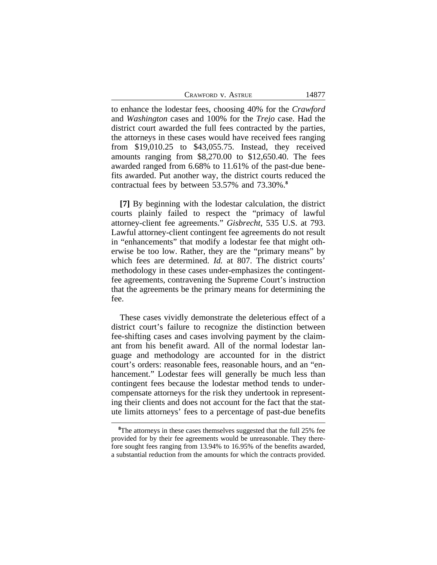| CRAWFORD V. ASTRUE |
|--------------------|
|--------------------|

14877

to enhance the lodestar fees, choosing 40% for the *Crawford* and *Washington* cases and 100% for the *Trejo* case. Had the district court awarded the full fees contracted by the parties, the attorneys in these cases would have received fees ranging from \$19,010.25 to \$43,055.75. Instead, they received amounts ranging from \$8,270.00 to \$12,650.40. The fees awarded ranged from 6.68% to 11.61% of the past-due benefits awarded. Put another way, the district courts reduced the contractual fees by between 53.57% and 73.30%.**<sup>8</sup>**

**[7]** By beginning with the lodestar calculation, the district courts plainly failed to respect the "primacy of lawful attorney-client fee agreements." *Gisbrecht*, 535 U.S. at 793. Lawful attorney-client contingent fee agreements do not result in "enhancements" that modify a lodestar fee that might otherwise be too low. Rather, they are the "primary means" by which fees are determined. *Id.* at 807. The district courts' methodology in these cases under-emphasizes the contingentfee agreements, contravening the Supreme Court's instruction that the agreements be the primary means for determining the fee.

These cases vividly demonstrate the deleterious effect of a district court's failure to recognize the distinction between fee-shifting cases and cases involving payment by the claimant from his benefit award. All of the normal lodestar language and methodology are accounted for in the district court's orders: reasonable fees, reasonable hours, and an "enhancement." Lodestar fees will generally be much less than contingent fees because the lodestar method tends to undercompensate attorneys for the risk they undertook in representing their clients and does not account for the fact that the statute limits attorneys' fees to a percentage of past-due benefits

<sup>&</sup>lt;sup>8</sup>The attorneys in these cases themselves suggested that the full 25% fee provided for by their fee agreements would be unreasonable. They therefore sought fees ranging from 13.94% to 16.95% of the benefits awarded, a substantial reduction from the amounts for which the contracts provided.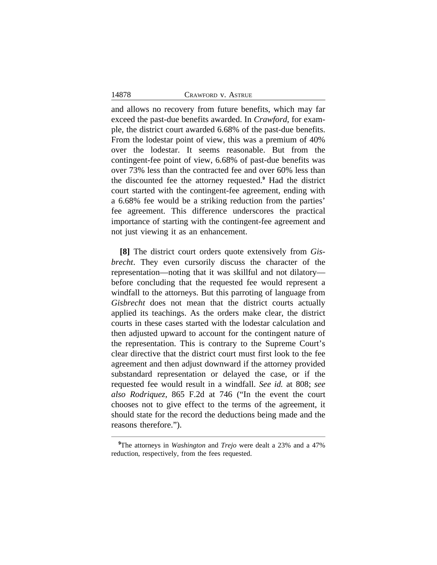and allows no recovery from future benefits, which may far exceed the past-due benefits awarded. In *Crawford*, for example, the district court awarded 6.68% of the past-due benefits. From the lodestar point of view, this was a premium of 40% over the lodestar. It seems reasonable. But from the contingent-fee point of view, 6.68% of past-due benefits was over 73% less than the contracted fee and over 60% less than the discounted fee the attorney requested.**<sup>9</sup>** Had the district court started with the contingent-fee agreement, ending with a 6.68% fee would be a striking reduction from the parties' fee agreement. This difference underscores the practical importance of starting with the contingent-fee agreement and not just viewing it as an enhancement.

**[8]** The district court orders quote extensively from *Gisbrecht*. They even cursorily discuss the character of the representation—noting that it was skillful and not dilatory before concluding that the requested fee would represent a windfall to the attorneys. But this parroting of language from *Gisbrecht* does not mean that the district courts actually applied its teachings. As the orders make clear, the district courts in these cases started with the lodestar calculation and then adjusted upward to account for the contingent nature of the representation. This is contrary to the Supreme Court's clear directive that the district court must first look to the fee agreement and then adjust downward if the attorney provided substandard representation or delayed the case, or if the requested fee would result in a windfall. *See id.* at 808; *see also Rodriquez*, 865 F.2d at 746 ("In the event the court chooses not to give effect to the terms of the agreement, it should state for the record the deductions being made and the reasons therefore.").

**<sup>9</sup>**The attorneys in *Washington* and *Trejo* were dealt a 23% and a 47% reduction, respectively, from the fees requested.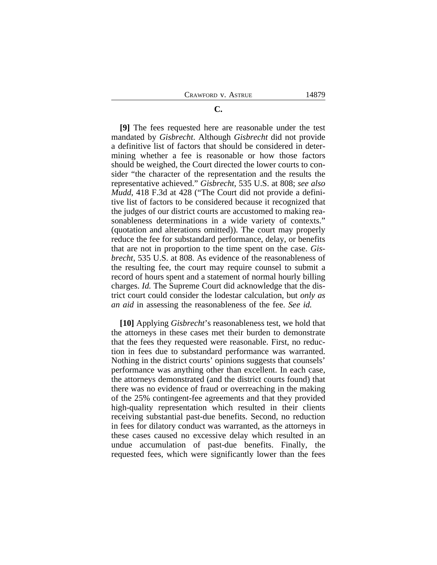## **[9]** The fees requested here are reasonable under the test mandated by *Gisbrecht*. Although *Gisbrecht* did not provide a definitive list of factors that should be considered in determining whether a fee is reasonable or how those factors should be weighed, the Court directed the lower courts to consider "the character of the representation and the results the representative achieved." *Gisbrecht*, 535 U.S. at 808; *see also Mudd*, 418 F.3d at 428 ("The Court did not provide a definitive list of factors to be considered because it recognized that the judges of our district courts are accustomed to making reasonableness determinations in a wide variety of contexts." (quotation and alterations omitted)). The court may properly reduce the fee for substandard performance, delay, or benefits that are not in proportion to the time spent on the case. *Gisbrecht*, 535 U.S. at 808. As evidence of the reasonableness of the resulting fee, the court may require counsel to submit a record of hours spent and a statement of normal hourly billing charges. *Id.* The Supreme Court did acknowledge that the district court could consider the lodestar calculation, but *only as an aid* in assessing the reasonableness of the fee. *See id.*

**[10]** Applying *Gisbrecht*'s reasonableness test, we hold that the attorneys in these cases met their burden to demonstrate that the fees they requested were reasonable. First, no reduction in fees due to substandard performance was warranted. Nothing in the district courts' opinions suggests that counsels' performance was anything other than excellent. In each case, the attorneys demonstrated (and the district courts found) that there was no evidence of fraud or overreaching in the making of the 25% contingent-fee agreements and that they provided high-quality representation which resulted in their clients receiving substantial past-due benefits. Second, no reduction in fees for dilatory conduct was warranted, as the attorneys in these cases caused no excessive delay which resulted in an undue accumulation of past-due benefits. Finally, the requested fees, which were significantly lower than the fees

# **C.**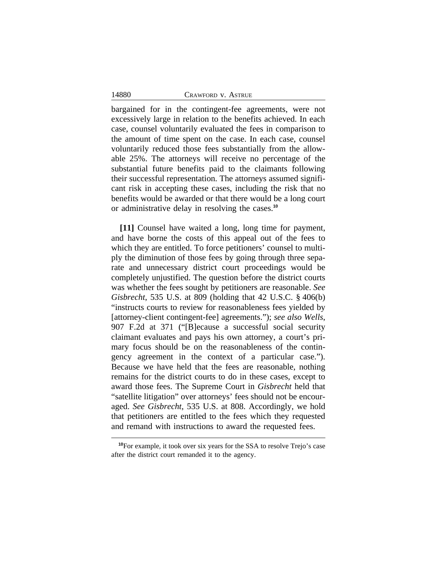bargained for in the contingent-fee agreements, were not excessively large in relation to the benefits achieved. In each case, counsel voluntarily evaluated the fees in comparison to the amount of time spent on the case. In each case, counsel voluntarily reduced those fees substantially from the allowable 25%. The attorneys will receive no percentage of the substantial future benefits paid to the claimants following their successful representation. The attorneys assumed significant risk in accepting these cases, including the risk that no benefits would be awarded or that there would be a long court or administrative delay in resolving the cases.**<sup>10</sup>**

**[11]** Counsel have waited a long, long time for payment, and have borne the costs of this appeal out of the fees to which they are entitled. To force petitioners' counsel to multiply the diminution of those fees by going through three separate and unnecessary district court proceedings would be completely unjustified. The question before the district courts was whether the fees sought by petitioners are reasonable. *See Gisbrecht*, 535 U.S. at 809 (holding that 42 U.S.C. § 406(b) "instructs courts to review for reasonableness fees yielded by [attorney-client contingent-fee] agreements."); *see also Wells*, 907 F.2d at 371 ("[B]ecause a successful social security claimant evaluates and pays his own attorney, a court's primary focus should be on the reasonableness of the contingency agreement in the context of a particular case."). Because we have held that the fees are reasonable, nothing remains for the district courts to do in these cases, except to award those fees. The Supreme Court in *Gisbrecht* held that "satellite litigation" over attorneys' fees should not be encouraged. *See Gisbrecht*, 535 U.S. at 808. Accordingly, we hold that petitioners are entitled to the fees which they requested and remand with instructions to award the requested fees.

**<sup>10</sup>**For example, it took over six years for the SSA to resolve Trejo's case after the district court remanded it to the agency.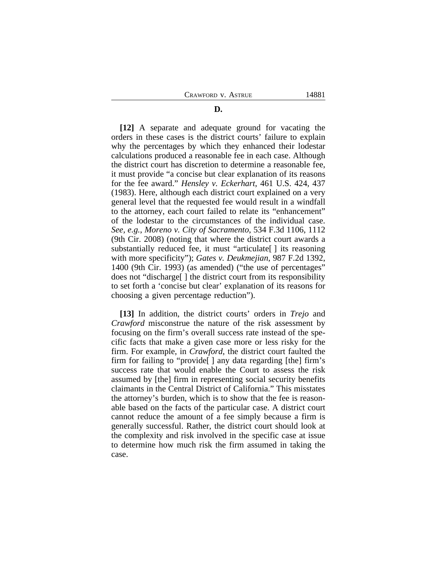#### **D.**

**[12]** A separate and adequate ground for vacating the orders in these cases is the district courts' failure to explain why the percentages by which they enhanced their lodestar calculations produced a reasonable fee in each case. Although the district court has discretion to determine a reasonable fee, it must provide "a concise but clear explanation of its reasons for the fee award." *Hensley v. Eckerhart*, 461 U.S. 424, 437 (1983). Here, although each district court explained on a very general level that the requested fee would result in a windfall to the attorney, each court failed to relate its "enhancement" of the lodestar to the circumstances of the individual case. *See, e.g.*, *Moreno v. City of Sacramento*, 534 F.3d 1106, 1112 (9th Cir. 2008) (noting that where the district court awards a substantially reduced fee, it must "articulate[ ] its reasoning with more specificity"); *Gates v. Deukmejian*, 987 F.2d 1392, 1400 (9th Cir. 1993) (as amended) ("the use of percentages" does not "discharge[ ] the district court from its responsibility to set forth a 'concise but clear' explanation of its reasons for choosing a given percentage reduction").

**[13]** In addition, the district courts' orders in *Trejo* and *Crawford* misconstrue the nature of the risk assessment by focusing on the firm's overall success rate instead of the specific facts that make a given case more or less risky for the firm. For example, in *Crawford*, the district court faulted the firm for failing to "provide[ ] any data regarding [the] firm's success rate that would enable the Court to assess the risk assumed by [the] firm in representing social security benefits claimants in the Central District of California." This misstates the attorney's burden, which is to show that the fee is reasonable based on the facts of the particular case. A district court cannot reduce the amount of a fee simply because a firm is generally successful. Rather, the district court should look at the complexity and risk involved in the specific case at issue to determine how much risk the firm assumed in taking the case.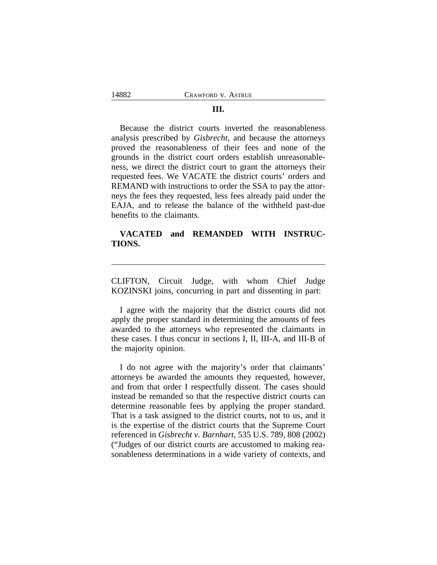#### **III.**

Because the district courts inverted the reasonableness analysis prescribed by *Gisbrecht*, and because the attorneys proved the reasonableness of their fees and none of the grounds in the district court orders establish unreasonableness, we direct the district court to grant the attorneys their requested fees. We VACATE the district courts' orders and REMAND with instructions to order the SSA to pay the attorneys the fees they requested, less fees already paid under the EAJA, and to release the balance of the withheld past-due benefits to the claimants.

## **VACATED and REMANDED WITH INSTRUC-TIONS.**

CLIFTON, Circuit Judge, with whom Chief Judge KOZINSKI joins, concurring in part and dissenting in part:

I agree with the majority that the district courts did not apply the proper standard in determining the amounts of fees awarded to the attorneys who represented the claimants in these cases. I thus concur in sections I, II, III-A, and III-B of the majority opinion.

I do not agree with the majority's order that claimants' attorneys be awarded the amounts they requested, however, and from that order I respectfully dissent. The cases should instead be remanded so that the respective district courts can determine reasonable fees by applying the proper standard. That is a task assigned to the district courts, not to us, and it is the expertise of the district courts that the Supreme Court referenced in *Gisbrecht v. Barnhart*, 535 U.S. 789, 808 (2002) ("Judges of our district courts are accustomed to making reasonableness determinations in a wide variety of contexts, and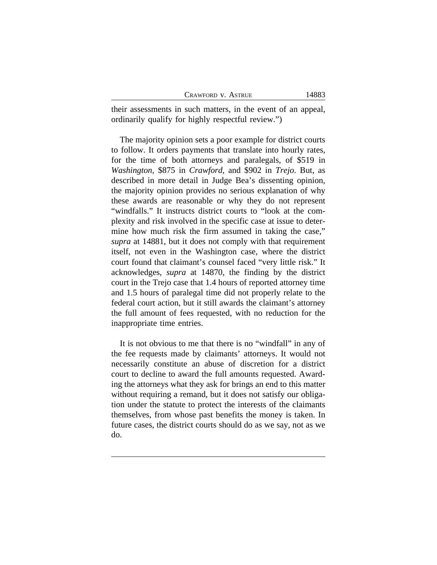their assessments in such matters, in the event of an appeal, ordinarily qualify for highly respectful review.")

The majority opinion sets a poor example for district courts to follow. It orders payments that translate into hourly rates, for the time of both attorneys and paralegals, of \$519 in *Washington*, \$875 in *Crawford*, and \$902 in *Trejo*. But, as described in more detail in Judge Bea's dissenting opinion, the majority opinion provides no serious explanation of why these awards are reasonable or why they do not represent "windfalls." It instructs district courts to "look at the complexity and risk involved in the specific case at issue to determine how much risk the firm assumed in taking the case," *supra* at 14881, but it does not comply with that requirement itself, not even in the Washington case, where the district court found that claimant's counsel faced "very little risk." It acknowledges, *supra* at 14870, the finding by the district court in the Trejo case that 1.4 hours of reported attorney time and 1.5 hours of paralegal time did not properly relate to the federal court action, but it still awards the claimant's attorney the full amount of fees requested, with no reduction for the inappropriate time entries.

It is not obvious to me that there is no "windfall" in any of the fee requests made by claimants' attorneys. It would not necessarily constitute an abuse of discretion for a district court to decline to award the full amounts requested. Awarding the attorneys what they ask for brings an end to this matter without requiring a remand, but it does not satisfy our obligation under the statute to protect the interests of the claimants themselves, from whose past benefits the money is taken. In future cases, the district courts should do as we say, not as we do.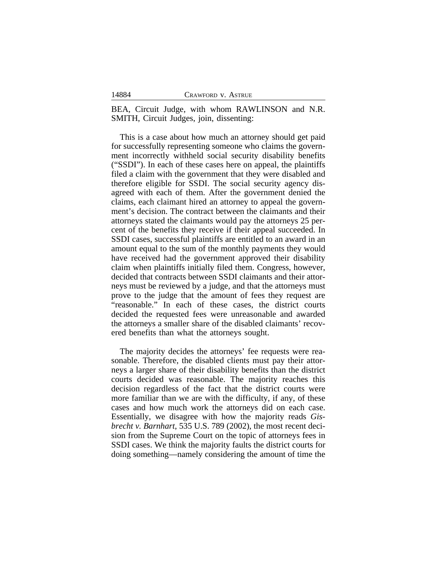14884

BEA, Circuit Judge, with whom RAWLINSON and N.R. SMITH, Circuit Judges, join, dissenting:

This is a case about how much an attorney should get paid for successfully representing someone who claims the government incorrectly withheld social security disability benefits ("SSDI"). In each of these cases here on appeal, the plaintiffs filed a claim with the government that they were disabled and therefore eligible for SSDI. The social security agency disagreed with each of them. After the government denied the claims, each claimant hired an attorney to appeal the government's decision. The contract between the claimants and their attorneys stated the claimants would pay the attorneys 25 percent of the benefits they receive if their appeal succeeded. In SSDI cases, successful plaintiffs are entitled to an award in an amount equal to the sum of the monthly payments they would have received had the government approved their disability claim when plaintiffs initially filed them. Congress, however, decided that contracts between SSDI claimants and their attorneys must be reviewed by a judge, and that the attorneys must prove to the judge that the amount of fees they request are "reasonable." In each of these cases, the district courts decided the requested fees were unreasonable and awarded the attorneys a smaller share of the disabled claimants' recovered benefits than what the attorneys sought.

The majority decides the attorneys' fee requests were reasonable. Therefore, the disabled clients must pay their attorneys a larger share of their disability benefits than the district courts decided was reasonable. The majority reaches this decision regardless of the fact that the district courts were more familiar than we are with the difficulty, if any, of these cases and how much work the attorneys did on each case. Essentially, we disagree with how the majority reads *Gisbrecht v. Barnhart*, 535 U.S. 789 (2002), the most recent decision from the Supreme Court on the topic of attorneys fees in SSDI cases. We think the majority faults the district courts for doing something—namely considering the amount of time the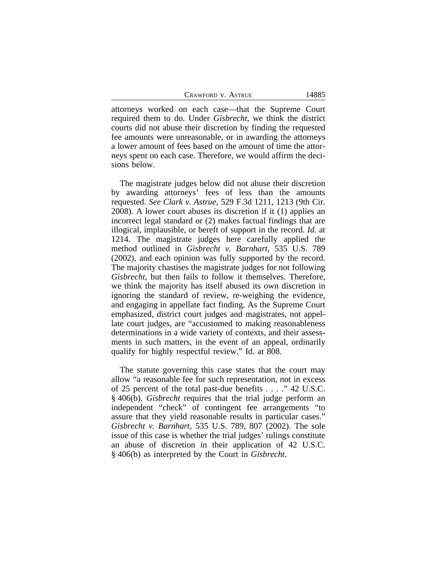attorneys worked on each case—that the Supreme Court required them to do. Under *Gisbrecht*, we think the district courts did not abuse their discretion by finding the requested fee amounts were unreasonable, or in awarding the attorneys a lower amount of fees based on the amount of time the attorneys spent on each case. Therefore, we would affirm the decisions below.

The magistrate judges below did not abuse their discretion by awarding attorneys' fees of less than the amounts requested. *See Clark v. Astrue*, 529 F.3d 1211, 1213 (9th Cir. 2008). A lower court abuses its discretion if it (1) applies an incorrect legal standard or (2) makes factual findings that are illogical, implausible, or bereft of support in the record. *Id.* at 1214. The magistrate judges here carefully applied the method outlined in *Gisbrecht v. Barnhart*, 535 U.S. 789 (2002), and each opinion was fully supported by the record. The majority chastises the magistrate judges for not following *Gisbrecht*, but then fails to follow it themselves. Therefore, we think the majority has itself abused its own discretion in ignoring the standard of review, re-weighing the evidence, and engaging in appellate fact finding. As the Supreme Court emphasized, district court judges and magistrates, not appellate court judges, are "accustomed to making reasonableness determinations in a wide variety of contexts, and their assessments in such matters, in the event of an appeal, ordinarily qualify for highly respectful review." Id. at 808.

The statute governing this case states that the court may allow "a reasonable fee for such representation, not in excess of 25 percent of the total past-due benefits . . . ." 42 U.S.C. § 406(b). *Gisbrecht* requires that the trial judge perform an independent "check" of contingent fee arrangements "to assure that they yield reasonable results in particular cases." *Gisbrecht v. Barnhart*, 535 U.S. 789, 807 (2002). The sole issue of this case is whether the trial judges' rulings constitute an abuse of discretion in their application of 42 U.S.C. § 406(b) as interpreted by the Court in *Gisbrecht*.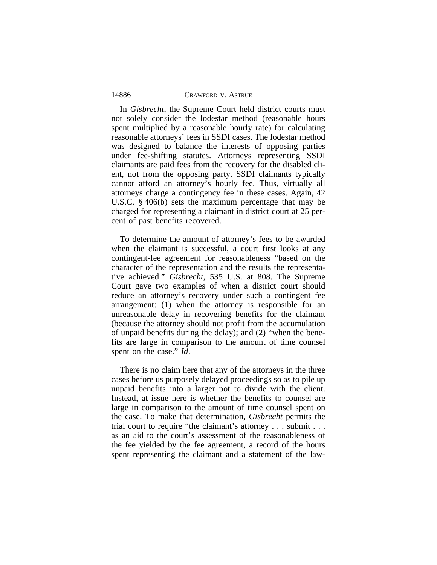In *Gisbrecht*, the Supreme Court held district courts must not solely consider the lodestar method (reasonable hours spent multiplied by a reasonable hourly rate) for calculating reasonable attorneys' fees in SSDI cases. The lodestar method was designed to balance the interests of opposing parties under fee-shifting statutes. Attorneys representing SSDI claimants are paid fees from the recovery for the disabled client, not from the opposing party. SSDI claimants typically cannot afford an attorney's hourly fee. Thus, virtually all attorneys charge a contingency fee in these cases. Again, 42 U.S.C. § 406(b) sets the maximum percentage that may be charged for representing a claimant in district court at 25 percent of past benefits recovered.

To determine the amount of attorney's fees to be awarded when the claimant is successful, a court first looks at any contingent-fee agreement for reasonableness "based on the character of the representation and the results the representative achieved." *Gisbrecht*, 535 U.S. at 808. The Supreme Court gave two examples of when a district court should reduce an attorney's recovery under such a contingent fee arrangement: (1) when the attorney is responsible for an unreasonable delay in recovering benefits for the claimant (because the attorney should not profit from the accumulation of unpaid benefits during the delay); and (2) "when the benefits are large in comparison to the amount of time counsel spent on the case." *Id*.

There is no claim here that any of the attorneys in the three cases before us purposely delayed proceedings so as to pile up unpaid benefits into a larger pot to divide with the client. Instead, at issue here is whether the benefits to counsel are large in comparison to the amount of time counsel spent on the case. To make that determination, *Gisbrecht* permits the trial court to require "the claimant's attorney . . . submit . . . as an aid to the court's assessment of the reasonableness of the fee yielded by the fee agreement, a record of the hours spent representing the claimant and a statement of the law-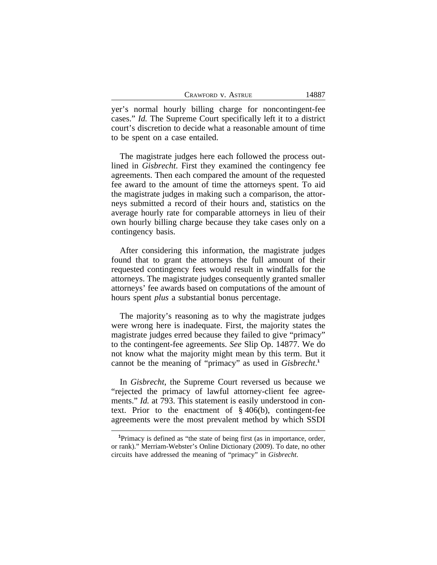| Crawford v. Astrue |  |  |
|--------------------|--|--|
|--------------------|--|--|

yer's normal hourly billing charge for noncontingent-fee cases." *Id.* The Supreme Court specifically left it to a district court's discretion to decide what a reasonable amount of time to be spent on a case entailed.

The magistrate judges here each followed the process outlined in *Gisbrecht*. First they examined the contingency fee agreements. Then each compared the amount of the requested fee award to the amount of time the attorneys spent. To aid the magistrate judges in making such a comparison, the attorneys submitted a record of their hours and, statistics on the average hourly rate for comparable attorneys in lieu of their own hourly billing charge because they take cases only on a contingency basis.

After considering this information, the magistrate judges found that to grant the attorneys the full amount of their requested contingency fees would result in windfalls for the attorneys. The magistrate judges consequently granted smaller attorneys' fee awards based on computations of the amount of hours spent *plus* a substantial bonus percentage.

The majority's reasoning as to why the magistrate judges were wrong here is inadequate. First, the majority states the magistrate judges erred because they failed to give "primacy" to the contingent-fee agreements. *See* Slip Op. 14877. We do not know what the majority might mean by this term. But it cannot be the meaning of "primacy" as used in *Gisbrecht*. **1**

In *Gisbrecht*, the Supreme Court reversed us because we "rejected the primacy of lawful attorney-client fee agreements." *Id.* at 793. This statement is easily understood in context. Prior to the enactment of § 406(b), contingent-fee agreements were the most prevalent method by which SSDI

**<sup>1</sup>**Primacy is defined as "the state of being first (as in importance, order, or rank)." Merriam-Webster's Online Dictionary (2009). To date, no other circuits have addressed the meaning of "primacy" in *Gisbrecht*.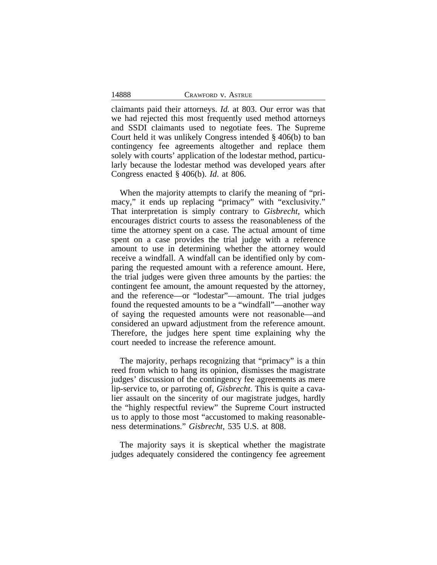claimants paid their attorneys. *Id.* at 803. Our error was that we had rejected this most frequently used method attorneys and SSDI claimants used to negotiate fees. The Supreme Court held it was unlikely Congress intended § 406(b) to ban contingency fee agreements altogether and replace them solely with courts' application of the lodestar method, particularly because the lodestar method was developed years after Congress enacted § 406(b). *Id*. at 806.

When the majority attempts to clarify the meaning of "primacy," it ends up replacing "primacy" with "exclusivity." That interpretation is simply contrary to *Gisbrecht*, which encourages district courts to assess the reasonableness of the time the attorney spent on a case. The actual amount of time spent on a case provides the trial judge with a reference amount to use in determining whether the attorney would receive a windfall. A windfall can be identified only by comparing the requested amount with a reference amount. Here, the trial judges were given three amounts by the parties: the contingent fee amount, the amount requested by the attorney, and the reference—or "lodestar"—amount. The trial judges found the requested amounts to be a "windfall"—another way of saying the requested amounts were not reasonable—and considered an upward adjustment from the reference amount. Therefore, the judges here spent time explaining why the court needed to increase the reference amount.

The majority, perhaps recognizing that "primacy" is a thin reed from which to hang its opinion, dismisses the magistrate judges' discussion of the contingency fee agreements as mere lip-service to, or parroting of, *Gisbrecht*. This is quite a cavalier assault on the sincerity of our magistrate judges, hardly the "highly respectful review" the Supreme Court instructed us to apply to those most "accustomed to making reasonableness determinations." *Gisbrecht*, 535 U.S. at 808.

The majority says it is skeptical whether the magistrate judges adequately considered the contingency fee agreement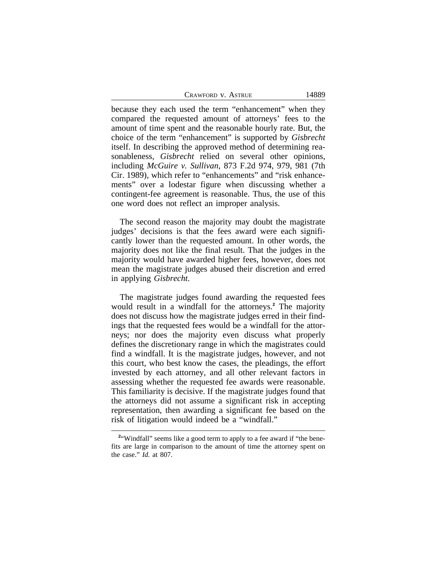because they each used the term "enhancement" when they compared the requested amount of attorneys' fees to the amount of time spent and the reasonable hourly rate. But, the choice of the term "enhancement" is supported by *Gisbrecht* itself. In describing the approved method of determining reasonableness, *Gisbrecht* relied on several other opinions, including *McGuire v. Sullivan*, 873 F.2d 974, 979, 981 (7th Cir. 1989), which refer to "enhancements" and "risk enhancements" over a lodestar figure when discussing whether a contingent-fee agreement is reasonable. Thus, the use of this one word does not reflect an improper analysis.

The second reason the majority may doubt the magistrate judges' decisions is that the fees award were each significantly lower than the requested amount. In other words, the majority does not like the final result. That the judges in the majority would have awarded higher fees, however, does not mean the magistrate judges abused their discretion and erred in applying *Gisbrecht*.

The magistrate judges found awarding the requested fees would result in a windfall for the attorneys.**<sup>2</sup>** The majority does not discuss how the magistrate judges erred in their findings that the requested fees would be a windfall for the attorneys; nor does the majority even discuss what properly defines the discretionary range in which the magistrates could find a windfall. It is the magistrate judges, however, and not this court, who best know the cases, the pleadings, the effort invested by each attorney, and all other relevant factors in assessing whether the requested fee awards were reasonable. This familiarity is decisive. If the magistrate judges found that the attorneys did not assume a significant risk in accepting representation, then awarding a significant fee based on the risk of litigation would indeed be a "windfall."

<sup>&</sup>lt;sup>2</sup> "Windfall" seems like a good term to apply to a fee award if "the benefits are large in comparison to the amount of time the attorney spent on the case." *Id.* at 807.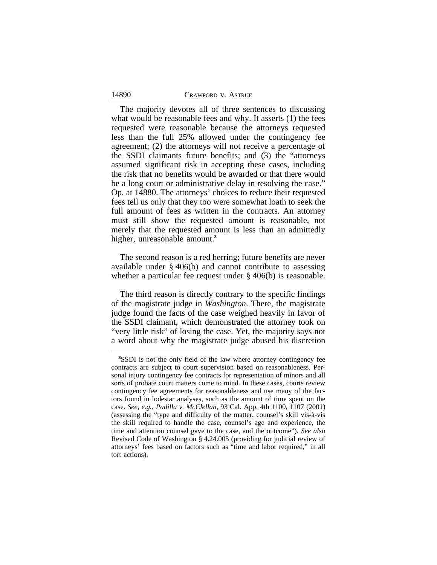The majority devotes all of three sentences to discussing what would be reasonable fees and why. It asserts (1) the fees requested were reasonable because the attorneys requested less than the full 25% allowed under the contingency fee agreement; (2) the attorneys will not receive a percentage of the SSDI claimants future benefits; and (3) the "attorneys assumed significant risk in accepting these cases, including the risk that no benefits would be awarded or that there would be a long court or administrative delay in resolving the case." Op. at 14880. The attorneys' choices to reduce their requested fees tell us only that they too were somewhat loath to seek the full amount of fees as written in the contracts. An attorney must still show the requested amount is reasonable, not merely that the requested amount is less than an admittedly higher, unreasonable amount.**<sup>3</sup>**

The second reason is a red herring; future benefits are never available under § 406(b) and cannot contribute to assessing whether a particular fee request under § 406(b) is reasonable.

The third reason is directly contrary to the specific findings of the magistrate judge in *Washington*. There, the magistrate judge found the facts of the case weighed heavily in favor of the SSDI claimant, which demonstrated the attorney took on "very little risk" of losing the case. Yet, the majority says not a word about why the magistrate judge abused his discretion

**<sup>3</sup>**SSDI is not the only field of the law where attorney contingency fee contracts are subject to court supervision based on reasonableness. Personal injury contingency fee contracts for representation of minors and all sorts of probate court matters come to mind. In these cases, courts review contingency fee agreements for reasonableness and use many of the factors found in lodestar analyses, such as the amount of time spent on the case. *See, e.g.*, *Padilla v. McClellan,* 93 Cal. App. 4th 1100, 1107 (2001) (assessing the "type and difficulty of the matter, counsel's skill vis-à-vis the skill required to handle the case, counsel's age and experience, the time and attention counsel gave to the case, and the outcome"). *See also* Revised Code of Washington § 4.24.005 (providing for judicial review of attorneys' fees based on factors such as "time and labor required," in all tort actions).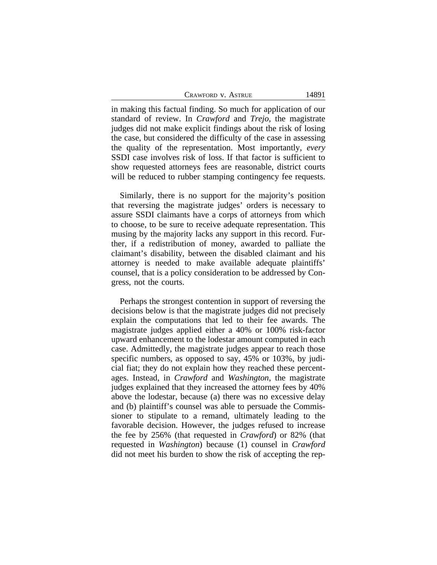in making this factual finding. So much for application of our standard of review. In *Crawford* and *Trejo*, the magistrate judges did not make explicit findings about the risk of losing the case, but considered the difficulty of the case in assessing the quality of the representation. Most importantly, *every* SSDI case involves risk of loss. If that factor is sufficient to show requested attorneys fees are reasonable, district courts will be reduced to rubber stamping contingency fee requests.

Similarly, there is no support for the majority's position that reversing the magistrate judges' orders is necessary to assure SSDI claimants have a corps of attorneys from which to choose, to be sure to receive adequate representation. This musing by the majority lacks any support in this record. Further, if a redistribution of money, awarded to palliate the claimant's disability, between the disabled claimant and his attorney is needed to make available adequate plaintiffs' counsel, that is a policy consideration to be addressed by Congress, not the courts.

Perhaps the strongest contention in support of reversing the decisions below is that the magistrate judges did not precisely explain the computations that led to their fee awards. The magistrate judges applied either a 40% or 100% risk-factor upward enhancement to the lodestar amount computed in each case. Admittedly, the magistrate judges appear to reach those specific numbers, as opposed to say, 45% or 103%, by judicial fiat; they do not explain how they reached these percentages. Instead, in *Crawford* and *Washington*, the magistrate judges explained that they increased the attorney fees by 40% above the lodestar, because (a) there was no excessive delay and (b) plaintiff's counsel was able to persuade the Commissioner to stipulate to a remand, ultimately leading to the favorable decision. However, the judges refused to increase the fee by 256% (that requested in *Crawford*) or 82% (that requested in *Washington*) because (1) counsel in *Crawford* did not meet his burden to show the risk of accepting the rep-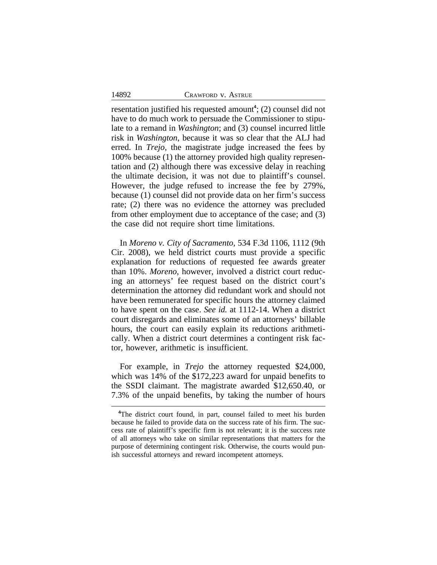resentation justified his requested amount**<sup>4</sup>** ; (2) counsel did not have to do much work to persuade the Commissioner to stipulate to a remand in *Washington*; and (3) counsel incurred little risk in *Washington*, because it was so clear that the ALJ had erred. In *Trejo*, the magistrate judge increased the fees by 100% because (1) the attorney provided high quality representation and (2) although there was excessive delay in reaching the ultimate decision, it was not due to plaintiff's counsel. However, the judge refused to increase the fee by 279%, because (1) counsel did not provide data on her firm's success rate; (2) there was no evidence the attorney was precluded from other employment due to acceptance of the case; and (3) the case did not require short time limitations.

In *Moreno v. City of Sacramento*, 534 F.3d 1106, 1112 (9th Cir. 2008), we held district courts must provide a specific explanation for reductions of requested fee awards greater than 10%. *Moreno*, however, involved a district court reducing an attorneys' fee request based on the district court's determination the attorney did redundant work and should not have been remunerated for specific hours the attorney claimed to have spent on the case. *See id.* at 1112-14. When a district court disregards and eliminates some of an attorneys' billable hours, the court can easily explain its reductions arithmetically. When a district court determines a contingent risk factor, however, arithmetic is insufficient.

For example, in *Trejo* the attorney requested \$24,000, which was 14% of the \$172,223 award for unpaid benefits to the SSDI claimant. The magistrate awarded \$12,650.40, or 7.3% of the unpaid benefits, by taking the number of hours

**<sup>4</sup>**The district court found, in part, counsel failed to meet his burden because he failed to provide data on the success rate of his firm. The success rate of plaintiff's specific firm is not relevant; it is the success rate of all attorneys who take on similar representations that matters for the purpose of determining contingent risk. Otherwise, the courts would punish successful attorneys and reward incompetent attorneys.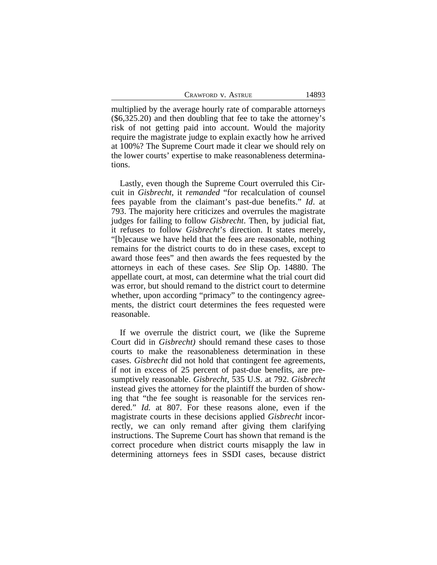multiplied by the average hourly rate of comparable attorneys (\$6,325.20) and then doubling that fee to take the attorney's risk of not getting paid into account. Would the majority require the magistrate judge to explain exactly how he arrived at 100%? The Supreme Court made it clear we should rely on the lower courts' expertise to make reasonableness determinations.

Lastly, even though the Supreme Court overruled this Circuit in *Gisbrecht*, it *remanded* "for recalculation of counsel fees payable from the claimant's past-due benefits." *Id*. at 793. The majority here criticizes and overrules the magistrate judges for failing to follow *Gisbrecht*. Then, by judicial fiat, it refuses to follow *Gisbrecht*'s direction. It states merely, "[b]ecause we have held that the fees are reasonable, nothing remains for the district courts to do in these cases, except to award those fees" and then awards the fees requested by the attorneys in each of these cases. *See* Slip Op. 14880. The appellate court, at most, can determine what the trial court did was error, but should remand to the district court to determine whether, upon according "primacy" to the contingency agreements, the district court determines the fees requested were reasonable.

If we overrule the district court, we (like the Supreme Court did in *Gisbrecht)* should remand these cases to those courts to make the reasonableness determination in these cases. *Gisbrecht* did not hold that contingent fee agreements, if not in excess of 25 percent of past-due benefits, are presumptively reasonable. *Gisbrecht,* 535 U.S. at 792. *Gisbrecht* instead gives the attorney for the plaintiff the burden of showing that "the fee sought is reasonable for the services rendered." *Id.* at 807. For these reasons alone, even if the magistrate courts in these decisions applied *Gisbrecht* incorrectly, we can only remand after giving them clarifying instructions. The Supreme Court has shown that remand is the correct procedure when district courts misapply the law in determining attorneys fees in SSDI cases, because district